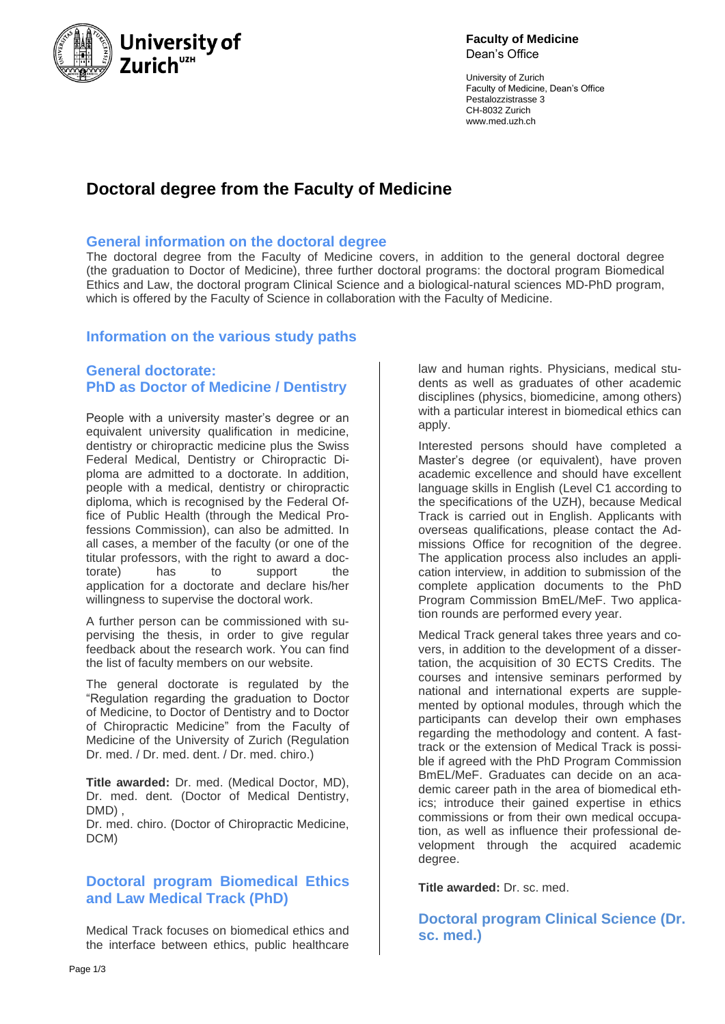

**Faculty of Medicine** Dean's Office

University of Zurich Faculty of Medicine, Dean's Office Pestalozzistrasse 3 CH-8032 Zurich www.med.uzh.ch

# **Doctoral degree from the Faculty of Medicine**

### **General information on the doctoral degree**

The doctoral degree from the Faculty of Medicine covers, in addition to the general doctoral degree (the graduation to Doctor of Medicine), three further doctoral programs: the doctoral program Biomedical Ethics and Law, the doctoral program Clinical Science and a biological-natural sciences MD-PhD program, which is offered by the Faculty of Science in collaboration with the Faculty of Medicine.

### **Information on the various study paths**

## **General doctorate: PhD as Doctor of Medicine / Dentistry**

People with a university master's degree or an equivalent university qualification in medicine, dentistry or chiropractic medicine plus the Swiss Federal Medical, Dentistry or Chiropractic Diploma are admitted to a doctorate. In addition, people with a medical, dentistry or chiropractic diploma, which is recognised by the Federal Office of Public Health (through the Medical Professions Commission), can also be admitted. In all cases, a member of the faculty (or one of the titular professors, with the right to award a doctorate) has to support the application for a doctorate and declare his/her willingness to supervise the doctoral work.

A further person can be commissioned with supervising the thesis, in order to give regular feedback about the research work. You can find the list of faculty members on our website.

The general doctorate is regulated by the "Regulation regarding the graduation to Doctor of Medicine, to Doctor of Dentistry and to Doctor of Chiropractic Medicine" from the Faculty of Medicine of the University of Zurich (Regulation Dr. med. / Dr. med. dent. / Dr. med. chiro.)

**Title awarded:** Dr. med. (Medical Doctor, MD), Dr. med. dent. (Doctor of Medical Dentistry, DMD) ,

Dr. med. chiro. (Doctor of Chiropractic Medicine, DCM)

## **Doctoral program Biomedical Ethics and Law Medical Track (PhD)**

Medical Track focuses on biomedical ethics and the interface between ethics, public healthcare law and human rights. Physicians, medical students as well as graduates of other academic disciplines (physics, biomedicine, among others) with a particular interest in biomedical ethics can apply.

Interested persons should have completed a Master's degree (or equivalent), have proven academic excellence and should have excellent language skills in English (Level C1 according to the specifications of the UZH), because Medical Track is carried out in English. Applicants with overseas qualifications, please contact the Admissions Office for recognition of the degree. The application process also includes an application interview, in addition to submission of the complete application documents to the PhD Program Commission BmEL/MeF. Two application rounds are performed every year.

Medical Track general takes three years and covers, in addition to the development of a dissertation, the acquisition of 30 ECTS Credits. The courses and intensive seminars performed by national and international experts are supplemented by optional modules, through which the participants can develop their own emphases regarding the methodology and content. A fasttrack or the extension of Medical Track is possible if agreed with the PhD Program Commission BmEL/MeF. Graduates can decide on an academic career path in the area of biomedical ethics; introduce their gained expertise in ethics commissions or from their own medical occupation, as well as influence their professional development through the acquired academic degree.

**Title awarded:** Dr. sc. med.

**Doctoral program Clinical Science (Dr. sc. med.)**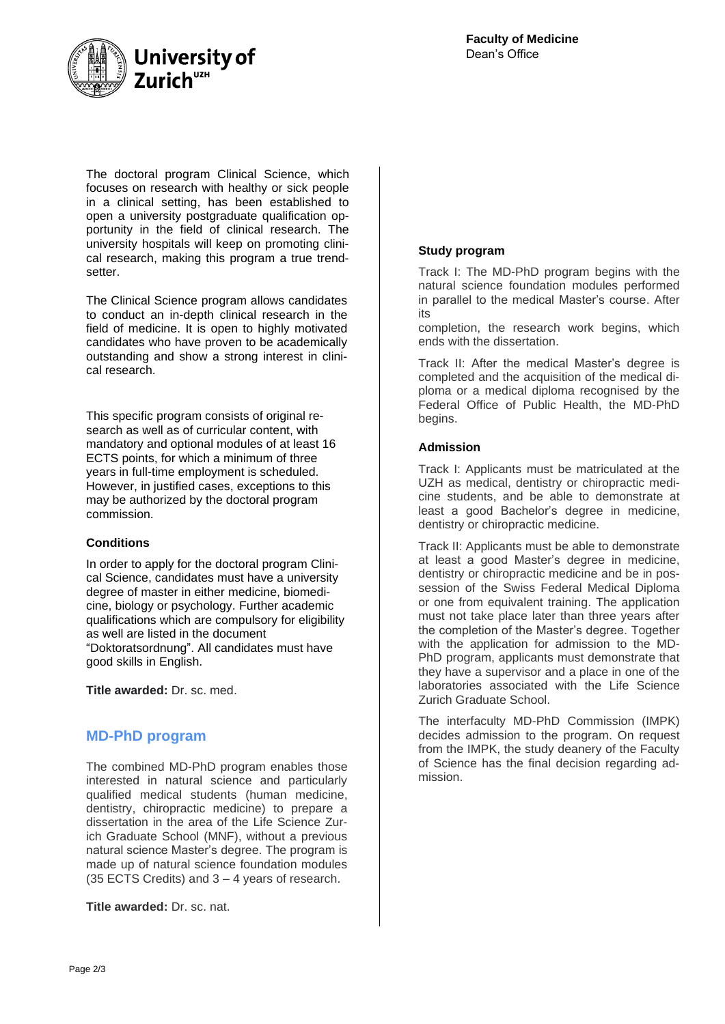

The doctoral program Clinical Science, which focuses on research with healthy or sick people in a clinical setting, has been established to open a university postgraduate qualification opportunity in the field of clinical research. The university hospitals will keep on promoting clinical research, making this program a true trendsetter.

The Clinical Science program allows candidates to conduct an in-depth clinical research in the field of medicine. It is open to highly motivated candidates who have proven to be academically outstanding and show a strong interest in clinical research.

This specific program consists of original research as well as of curricular content, with mandatory and optional modules of at least 16 ECTS points, for which a minimum of three years in full-time employment is scheduled. However, in justified cases, exceptions to this may be authorized by the doctoral program commission.

### **Conditions**

In order to apply for the doctoral program Clinical Science, candidates must have a university degree of master in either medicine, biomedicine, biology or psychology. Further academic qualifications which are compulsory for eligibility as well are listed in the document "Doktoratsordnung". All candidates must have good skills in English.

**Title awarded:** Dr. sc. med.

### **MD-PhD program**

The combined MD-PhD program enables those interested in natural science and particularly qualified medical students (human medicine, dentistry, chiropractic medicine) to prepare a dissertation in the area of the Life Science Zurich Graduate School (MNF), without a previous natural science Master's degree. The program is made up of natural science foundation modules (35 ECTS Credits) and 3 – 4 years of research.

**Title awarded:** Dr. sc. nat.

### **Study program**

Track I: The MD-PhD program begins with the natural science foundation modules performed in parallel to the medical Master's course. After its

completion, the research work begins, which ends with the dissertation.

Track II: After the medical Master's degree is completed and the acquisition of the medical diploma or a medical diploma recognised by the Federal Office of Public Health, the MD-PhD begins.

### **Admission**

Track I: Applicants must be matriculated at the UZH as medical, dentistry or chiropractic medicine students, and be able to demonstrate at least a good Bachelor's degree in medicine, dentistry or chiropractic medicine.

Track II: Applicants must be able to demonstrate at least a good Master's degree in medicine, dentistry or chiropractic medicine and be in possession of the Swiss Federal Medical Diploma or one from equivalent training. The application must not take place later than three years after the completion of the Master's degree. Together with the application for admission to the MD-PhD program, applicants must demonstrate that they have a supervisor and a place in one of the laboratories associated with the Life Science Zurich Graduate School.

The interfaculty MD-PhD Commission (IMPK) decides admission to the program. On request from the IMPK, the study deanery of the Faculty of Science has the final decision regarding admission.